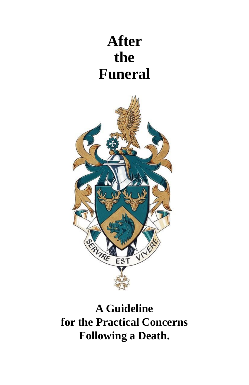# **After the Funeral**



**A Guideline for the Practical Concerns Following a Death.**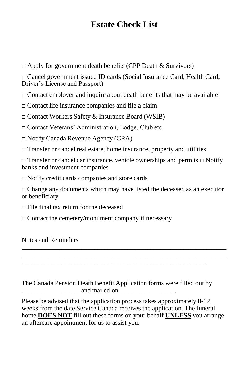# **Estate Check List**

□ Apply for government death benefits (CPP Death & Survivors)

□ Cancel government issued ID cards (Social Insurance Card, Health Card, Driver's License and Passport)

 $\Box$  Contact employer and inquire about death benefits that may be available

□ Contact life insurance companies and file a claim

□ Contact Workers Safety & Insurance Board (WSIB)

□ Contact Veterans' Administration, Lodge, Club etc.

□ Notify Canada Revenue Agency (CRA)

 $\Box$  Transfer or cancel real estate, home insurance, property and utilities

□ Transfer or cancel car insurance, vehicle ownerships and permits □ Notify banks and investment companies

□ Notify credit cards companies and store cards

 $\Box$  Change any documents which may have listed the deceased as an executor or beneficiary

\_\_\_\_\_\_\_\_\_\_\_\_\_\_\_\_\_\_\_\_\_\_\_\_\_\_\_\_\_\_\_\_\_\_\_\_\_\_\_\_\_\_\_\_\_\_\_\_\_\_\_\_\_\_\_\_\_\_\_\_\_\_ \_\_\_\_\_\_\_\_\_\_\_\_\_\_\_\_\_\_\_\_\_\_\_\_\_\_\_\_\_\_\_\_\_\_\_\_\_\_\_\_\_\_\_\_\_\_\_\_\_\_\_\_\_\_\_\_\_\_\_\_\_\_ \_\_\_\_\_\_\_\_\_\_\_\_\_\_\_\_\_\_\_\_\_\_\_\_\_\_\_\_\_\_\_\_\_\_\_\_\_\_\_\_\_\_\_\_\_\_\_\_\_\_\_\_\_\_\_\_

 $\Box$  File final tax return for the deceased

 $\Box$  Contact the cemetery/monument company if necessary

Notes and Reminders

The Canada Pension Death Benefit Application forms were filled out by and mailed on

Please be advised that the application process takes approximately 8-12 weeks from the date Service Canada receives the application. The funeral home **DOES NOT** fill out these forms on your behalf **UNLESS** you arrange an aftercare appointment for us to assist you.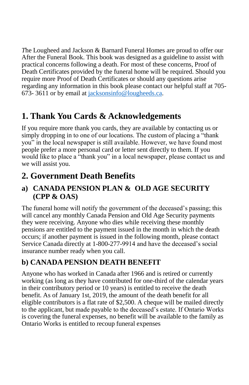*T*he Lougheed and Jackson & Barnard Funeral Homes are proud to offer our After the Funeral Book. This book was designed as a guideline to assist with practical concerns following a death. For most of these concerns, Proof of Death Certificates provided by the funeral home will be required. Should you require more Proof of Death Certificates or should any questions arise regarding any information in this book please contact our helpful staff at 705- 673- 3611 or by email at [jacksonsinfo@lougheeds.ca.](mailto:jacksonsinfo@lougheeds.ca)

# **1. Thank You Cards & Acknowledgements**

If you require more thank you cards, they are available by contacting us or simply dropping in to one of our locations. The custom of placing a "thank you" in the local newspaper is still available. However, we have found most people prefer a more personal card or letter sent directly to them. If you would like to place a "thank you" in a local newspaper, please contact us and we will assist you.

# **2. Government Death Benefits**

### **a) CANADA PENSION PLAN & OLD AGE SECURITY (CPP & OAS)**

The funeral home will notify the government of the deceased's passing; this will cancel any monthly Canada Pension and Old Age Security payments they were receiving. Anyone who dies while receiving these monthly pensions are entitled to the payment issued in the month in which the death occurs; if another payment is issued in the following month, please contact Service Canada directly at 1-800-277-9914 and have the deceased's social insurance number ready when you call.

# **b) CANADA PENSION DEATH BENEFIT**

Anyone who has worked in Canada after 1966 and is retired or currently working (as long as they have contributed for one-third of the calendar years in their contributory period or 10 years) is entitled to receive the death benefit. As of January 1st, 2019, the amount of the death benefit for all eligible contributors is a flat rate of \$2,500. A cheque will be mailed directly to the applicant, but made payable to the deceased's estate. If Ontario Works is covering the funeral expenses, no benefit will be available to the family as Ontario Works is entitled to recoup funeral expenses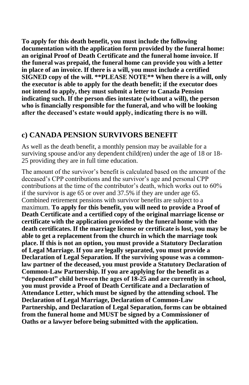**To apply for this death benefit, you must include the following documentation with the application form provided by the funeral home: an original Proof of Death Certificate and the funeral home invoice. If the funeral was prepaid, the funeral home can provide you with a letter in place of an invoice. If there is a will, you must include a certified SIGNED copy of the will. \*\*PLEASE NOTE\*\* When there is a will, only the executor is able to apply for the death benefit; if the executor does not intend to apply, they must submit a letter to Canada Pension indicating such. If the person dies intestate (without a will), the person who is financially responsible for the funeral, and who will be looking after the deceased's estate would apply, indicating there is no will.**

#### **c) CANADA PENSION SURVIVORS BENEFIT**

As well as the death benefit, a monthly pension may be available for a surviving spouse and/or any dependent child(ren) under the age of 18 or 18- 25 providing they are in full time education.

The amount of the survivor's benefit is calculated based on the amount of the deceased's CPP contributions and the survivor's age and personal CPP contributions at the time of the contributor's death, which works out to 60% if the survivor is age 65 or over and 37.5% if they are under age 65. Combined retirement pensions with survivor benefits are subject to a maximum. **To apply for this benefit, you will need to provide a Proof of Death Certificate and a certified copy of the original marriage license or certificate with the application provided by the funeral home with the death certificates. If the marriage license or certificate is lost, you may be able to get a replacement from the church in which the marriage took place. If this is not an option, you must provide a Statutory Declaration of Legal Marriage. If you are legally separated, you must provide a Declaration of Legal Separation. If the surviving spouse was a commonlaw partner of the deceased, you must provide a Statutory Declaration of Common-Law Partnership. If you are applying for the benefit as a "dependent" child between the ages of 18-25 and are currently in school, you must provide a Proof of Death Certificate and a Declaration of Attendance Letter, which must be signed by the attending school. The Declaration of Legal Marriage, Declaration of Common-Law Partnership, and Declaration of Legal Separation, forms can be obtained from the funeral home and MUST be signed by a Commissioner of Oaths or a lawyer before being submitted with the application.**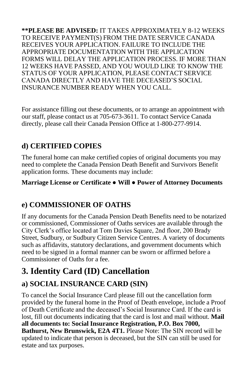**\*\*PLEASE BE ADVISED:** IT TAKES APPROXIMATELY 8-12 WEEKS TO RECEIVE PAYMENT(S) FROM THE DATE SERVICE CANADA RECEIVES YOUR APPLICATION. FAILURE TO INCLUDE THE APPROPRIATE DOCUMENTATION WITH THE APPLICATION FORMS WILL DELAY THE APPLICATION PROCESS. IF MORE THAN 12 WEEKS HAVE PASSED, AND YOU WOULD LIKE TO KNOW THE STATUS OF YOUR APPLICATION, PLEASE CONTACT SERVICE CANADA DIRECTLY AND HAVE THE DECEASED'S SOCIAL INSURANCE NUMBER READY WHEN YOU CALL.

For assistance filling out these documents, or to arrange an appointment with our staff, please contact us at 705-673-3611. To contact Service Canada directly, please call their Canada Pension Office at 1-800-277-9914.

### **d) CERTIFIED COPIES**

The funeral home can make certified copies of original documents you may need to complete the Canada Pension Death Benefit and Survivors Benefit application forms. These documents may include:

**Marriage License or Certificate ● Will ● Power of Attorney Documents**

### **e) COMMISSIONER OF OATHS**

If any documents for the Canada Pension Death Benefits need to be notarized or commissioned, Commissioner of Oaths services are available through the City Clerk's office located at Tom Davies Square, 2nd floor, 200 Brady Street, Sudbury, or Sudbury Citizen Service Centres. A variety of documents such as affidavits, statutory declarations, and government documents which need to be signed in a formal manner can be sworn or affirmed before a Commissioner of Oaths for a fee.

# **3. Identity Card (ID) Cancellation**

# **a) SOCIAL INSURANCE CARD (SIN)**

To cancel the Social Insurance Card please fill out the cancellation form provided by the funeral home in the Proof of Death envelope, include a Proof of Death Certificate and the deceased's Social Insurance Card. If the card is lost, fill out documents indicating that the card is lost and mail without. **Mail all documents to: Social Insurance Registration, P.O. Box 7000, Bathurst, New Brunswick, E2A 4T1.** Please Note: The SIN record will be updated to indicate that person is deceased, but the SIN can still be used for estate and tax purposes.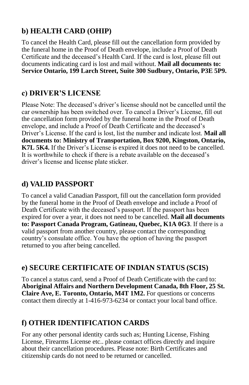# **b) HEALTH CARD (OHIP)**

To cancel the Health Card, please fill out the cancellation form provided by the funeral home in the Proof of Death envelope, include a Proof of Death Certificate and the deceased's Health Card. If the card is lost, please fill out documents indicating card is lost and mail without. **Mail all documents to: Service Ontario, 199 Larch Street, Suite 300 Sudbury, Ontario, P3E 5P9.**

### **c) DRIVER'S LICENSE**

Please Note: The deceased's driver's license should not be cancelled until the car ownership has been switched over. To cancel a Driver's License, fill out the cancellation form provided by the funeral home in the Proof of Death envelope, and include a Proof of Death Certificate and the deceased's Driver's License. If the card is lost, list the number and indicate lost. **Mail all documents to: Ministry of Transportation, Box 9200, Kingston, Ontario, K7L 5K4.** If the Driver's License is expired it does not need to be cancelled. It is worthwhile to check if there is a rebate available on the deceased's driver's license and license plate sticker.

# **d) VALID PASSPORT**

To cancel a valid Canadian Passport, fill out the cancellation form provided by the funeral home in the Proof of Death envelope and include a Proof of Death Certificate with the deceased's passport. If the passport has been expired for over a year, it does not need to be cancelled. **Mail all documents to: Passport Canada Program, Gatineau, Quebec, K1A 0G3**. If there is a valid passport from another country, please contact the corresponding country's consulate office. You have the option of having the passport returned to you after being cancelled.

### **e) SECURE CERTIFICATE OF INDIAN STATUS (SCIS)**

To cancel a status card, send a Proof of Death Certificate with the card to: **Aboriginal Affairs and Northern Development Canada, 8th Floor, 25 St. Claire Ave, E. Toronto, Ontario, M4T 1M2.** For questions or concerns contact them directly at 1-416-973-6234 or contact your local band office.

# **f) OTHER IDENTIFICATION CARDS**

For any other personal identity cards such as; Hunting License, Fishing License, Firearms License etc.. please contact offices directly and inquire about their cancellation procedures. Please note: Birth Certificates and citizenship cards do not need to be returned or cancelled.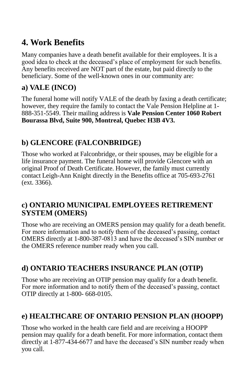# **4. Work Benefits**

Many companies have a death benefit available for their employees. It is a good idea to check at the deceased's place of employment for such benefits. Any benefits received are NOT part of the estate, but paid directly to the beneficiary. Some of the well-known ones in our community are:

### **a) VALE (INCO)**

The funeral home will notify VALE of the death by faxing a death certificate; however, they require the family to contact the Vale Pension Helpline at 1- 888-351-5549. Their mailing address is **Vale Pension Center 1060 Robert Bourassa Blvd, Suite 900, Montreal, Quebec H3B 4V3.**

## **b) GLENCORE (FALCONBRIDGE)**

Those who worked at Falconbridge, or their spouses, may be eligible for a life insurance payment. The funeral home will provide Glencore with an original Proof of Death Certificate. However, the family must currently contact Leigh-Ann Knight directly in the Benefits office at 705-693-2761 (ext. 3366).

#### **c) ONTARIO MUNICIPAL EMPLOYEES RETIREMENT SYSTEM (OMERS)**

Those who are receiving an OMERS pension may qualify for a death benefit. For more information and to notify them of the deceased's passing, contact OMERS directly at 1-800-387-0813 and have the deceased's SIN number or the OMERS reference number ready when you call.

### **d) ONTARIO TEACHERS INSURANCE PLAN (OTIP)**

Those who are receiving an OTIP pension may qualify for a death benefit. For more information and to notify them of the deceased's passing, contact OTIP directly at 1-800- 668-0105.

# **e) HEALTHCARE OF ONTARIO PENSION PLAN (HOOPP)**

Those who worked in the health care field and are receiving a HOOPP pension may qualify for a death benefit. For more information, contact them directly at 1-877-434-6677 and have the deceased's SIN number ready when you call.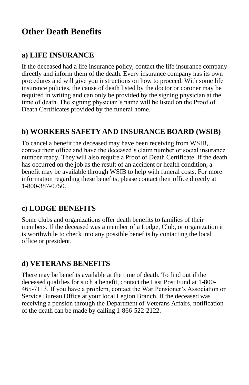# **Other Death Benefits**

### **a) LIFE INSURANCE**

If the deceased had a life insurance policy, contact the life insurance company directly and inform them of the death. Every insurance company has its own procedures and will give you instructions on how to proceed. With some life insurance policies, the cause of death listed by the doctor or coroner may be required in writing and can only be provided by the signing physician at the time of death. The signing physician's name will be listed on the Proof of Death Certificates provided by the funeral home.

#### **b) WORKERS SAFETY AND INSURANCE BOARD (WSIB)**

To cancel a benefit the deceased may have been receiving from WSIB, contact their office and have the deceased's claim number or social insurance number ready. They will also require a Proof of Death Certificate. If the death has occurred on the job as the result of an accident or health condition, a benefit may be available through WSIB to help with funeral costs. For more information regarding these benefits, please contact their office directly at 1-800-387-0750.

### **c) LODGE BENEFITS**

Some clubs and organizations offer death benefits to families of their members. If the deceased was a member of a Lodge, Club, or organization it is worthwhile to check into any possible benefits by contacting the local office or president.

### **d) VETERANS BENEFITS**

There may be benefits available at the time of death. To find out if the deceased qualifies for such a benefit, contact the Last Post Fund at 1-800- 465-7113. If you have a problem, contact the War Pensioner's Association or Service Bureau Office at your local Legion Branch. If the deceased was receiving a pension through the Department of Veterans Affairs, notification of the death can be made by calling 1-866-522-2122.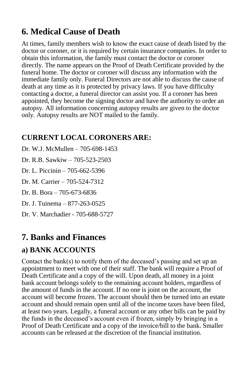# **6. Medical Cause of Death**

At times, family members wish to know the exact cause of death listed by the doctor or coroner, or it is required by certain insurance companies. In order to obtain this information, the family must contact the doctor or coroner directly. The name appears on the Proof of Death Certificate provided by the funeral home. The doctor or coroner will discuss any information with the immediate family only. Funeral Directors are not able to discuss the cause of death at any time as it is protected by privacy laws. If you have difficulty contacting a doctor, a funeral director can assist you. If a coroner has been appointed, they become the signing doctor and have the authority to order an autopsy. All information concerning autopsy results are given to the doctor only. Autopsy results are NOT mailed to the family.

### **CURRENT LOCAL CORONERS ARE:**

Dr. W.J. McMullen – 705-698-1453 Dr. R.B. Sawkiw – 705-523-2503 Dr. L. Piccinin – 705-662-5396 Dr. M. Carrier – 705-524-7312 Dr. B. Bora – 705-673-6836 Dr. J. Tuinema – 877-263-0525 Dr. V. Marchadier - 705-688-5727

# **7. Banks and Finances**

### **a) BANK ACCOUNTS**

Contact the bank(s) to notify them of the deceased's passing and set up an appointment to meet with one of their staff. The bank will require a Proof of Death Certificate and a copy of the will. Upon death, all money in a joint bank account belongs solely to the remaining account holders, regardless of the amount of funds in the account. If no one is joint on the account, the account will become frozen. The account should then be turned into an estate account and should remain open until all of the income taxes have been filed, at least two years. Legally, a funeral account or any other bills can be paid by the funds in the deceased's account even if frozen, simply by bringing in a Proof of Death Certificate and a copy of the invoice/bill to the bank. Smaller accounts can be released at the discretion of the financial institution.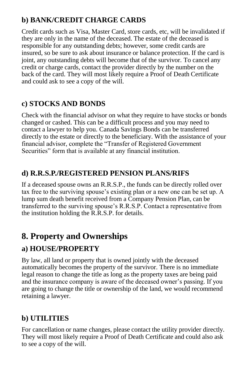## **b) BANK/CREDIT CHARGE CARDS**

Credit cards such as Visa, Master Card, store cards, etc, will be invalidated if they are only in the name of the deceased. The estate of the deceased is responsible for any outstanding debts; however, some credit cards are insured, so be sure to ask about insurance or balance protection. If the card is joint, any outstanding debts will become that of the survivor. To cancel any credit or charge cards, contact the provider directly by the number on the back of the card. They will most likely require a Proof of Death Certificate and could ask to see a copy of the will.

# **c) STOCKS AND BONDS**

Check with the financial advisor on what they require to have stocks or bonds changed or cashed. This can be a difficult process and you may need to contact a lawyer to help you. Canada Savings Bonds can be transferred directly to the estate or directly to the beneficiary. With the assistance of your financial advisor, complete the "Transfer of Registered Government Securities" form that is available at any financial institution.

### **d) R.R.S.P./REGISTERED PENSION PLANS/RIFS**

If a deceased spouse owns an R.R.S.P., the funds can be directly rolled over tax free to the surviving spouse's existing plan or a new one can be set up. A lump sum death benefit received from a Company Pension Plan, can be transferred to the surviving spouse's R.R.S.P. Contact a representative from the institution holding the R.R.S.P. for details.

# **8. Property and Ownerships**

# **a) HOUSE/PROPERTY**

By law, all land or property that is owned jointly with the deceased automatically becomes the property of the survivor. There is no immediate legal reason to change the title as long as the property taxes are being paid and the insurance company is aware of the deceased owner's passing. If you are going to change the title or ownership of the land, we would recommend retaining a lawyer.

# **b) UTILITIES**

For cancellation or name changes, please contact the utility provider directly. They will most likely require a Proof of Death Certificate and could also ask to see a copy of the will.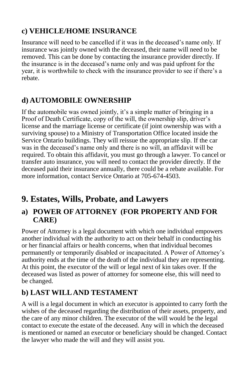# **c) VEHICLE/HOME INSURANCE**

Insurance will need to be cancelled if it was in the deceased's name only. If insurance was jointly owned with the deceased, their name will need to be removed. This can be done by contacting the insurance provider directly. If the insurance is in the deceased's name only and was paid upfront for the year, it is worthwhile to check with the insurance provider to see if there's a rebate.

# **d) AUTOMOBILE OWNERSHIP**

If the automobile was owned jointly, it's a simple matter of bringing in a Proof of Death Certificate, copy of the will, the ownership slip, driver's license and the marriage license or certificate (if joint ownership was with a surviving spouse) to a Ministry of Transportation Office located inside the Service Ontario buildings. They will reissue the appropriate slip. If the car was in the deceased's name only and there is no will, an affidavit will be required. To obtain this affidavit, you must go through a lawyer. To cancel or transfer auto insurance, you will need to contact the provider directly. If the deceased paid their insurance annually, there could be a rebate available. For more information, contact Service Ontario at 705-674-4503.

# **9. Estates, Wills, Probate, and Lawyers**

### **a) POWER OF ATTORNEY (FOR PROPERTY AND FOR CARE)**

Power of Attorney is a legal document with which one individual empowers another individual with the authority to act on their behalf in conducting his or her financial affairs or health concerns, when that individual becomes permanently or temporarily disabled or incapacitated. A Power of Attorney's authority ends at the time of the death of the individual they are representing. At this point, the executor of the will or legal next of kin takes over. If the deceased was listed as power of attorney for someone else, this will need to be changed.

# **b) LAST WILL AND TESTAMENT**

A will is a legal document in which an executor is appointed to carry forth the wishes of the deceased regarding the distribution of their assets, property, and the care of any minor children. The executor of the will would be the legal contact to execute the estate of the deceased. Any will in which the deceased is mentioned or named an executor or beneficiary should be changed. Contact the lawyer who made the will and they will assist you.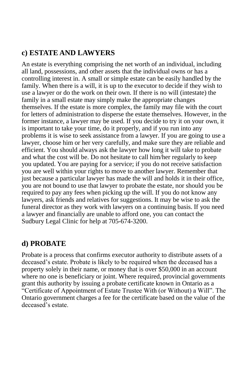### **c) ESTATE AND LAWYERS**

An estate is everything comprising the net worth of an individual, including all land, possessions, and other assets that the individual owns or has a controlling interest in. A small or simple estate can be easily handled by the family. When there is a will, it is up to the executor to decide if they wish to use a lawyer or do the work on their own. If there is no will (intestate) the family in a small estate may simply make the appropriate changes themselves. If the estate is more complex, the family may file with the court for letters of administration to disperse the estate themselves. However, in the former instance, a lawyer may be used. If you decide to try it on your own, it is important to take your time, do it properly, and if you run into any problems it is wise to seek assistance from a lawyer. If you are going to use a lawyer, choose him or her very carefully, and make sure they are reliable and efficient. You should always ask the lawyer how long it will take to probate and what the cost will be. Do not hesitate to call him/her regularly to keep you updated. You are paying for a service; if you do not receive satisfaction you are well within your rights to move to another lawyer. Remember that just because a particular lawyer has made the will and holds it in their office, you are not bound to use that lawyer to probate the estate, nor should you be required to pay any fees when picking up the will. If you do not know any lawyers, ask friends and relatives for suggestions. It may be wise to ask the funeral director as they work with lawyers on a continuing basis. If you need a lawyer and financially are unable to afford one, you can contact the Sudbury Legal Clinic for help at 705-674-3200.

#### **d) PROBATE**

Probate is a process that confirms executor authority to distribute assets of a deceased's estate. Probate is likely to be required when the deceased has a property solely in their name, or money that is over \$50,000 in an account where no one is beneficiary or joint. Where required, provincial governments grant this authority by issuing a probate certificate known in Ontario as a "Certificate of Appointment of Estate Trustee With (or Without) a Will". The Ontario government charges a fee for the certificate based on the value of the deceased's estate.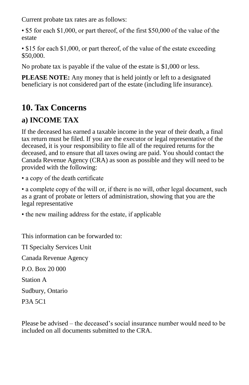Current probate tax rates are as follows:

• \$5 for each \$1,000, or part thereof, of the first \$50,000 of the value of the estate

• \$15 for each \$1,000, or part thereof, of the value of the estate exceeding \$50,000.

No probate tax is payable if the value of the estate is \$1,000 or less.

**PLEASE NOTE:** Any money that is held jointly or left to a designated beneficiary is not considered part of the estate (including life insurance).

# **10. Tax Concerns**

## **a) INCOME TAX**

If the deceased has earned a taxable income in the year of their death, a final tax return must be filed. If you are the executor or legal representative of the deceased, it is your responsibility to file all of the required returns for the deceased, and to ensure that all taxes owing are paid. You should contact the Canada Revenue Agency (CRA) as soon as possible and they will need to be provided with the following:

• a copy of the death certificate

• a complete copy of the will or, if there is no will, other legal document, such as a grant of probate or letters of administration, showing that you are the legal representative

• the new mailing address for the estate, if applicable

This information can be forwarded to:

TI Specialty Services Unit Canada Revenue Agency P.O. Box 20 000 Station A Sudbury, Ontario P3A 5C1

Please be advised – the deceased's social insurance number would need to be included on all documents submitted to the CRA.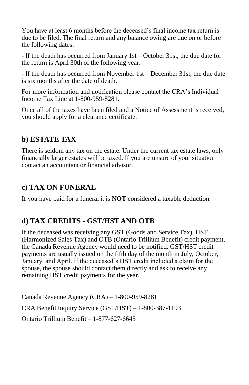You have at least 6 months before the deceased's final income tax return is due to be filed. The final return and any balance owing are due on or before the following dates:

- If the death has occurred from January 1st – October 31st, the due date for the return is April 30th of the following year.

- If the death has occurred from November 1st – December 31st, the due date is six months after the date of death.

For more information and notification please contact the CRA's Individual Income Tax Line at 1-800-959-8281.

Once all of the taxes have been filed and a Notice of Assessment is received, you should apply for a clearance certificate.

### **b) ESTATE TAX**

There is seldom any tax on the estate. Under the current tax estate laws, only financially larger estates will be taxed. If you are unsure of your situation contact an accountant or financial advisor.

## **c) TAX ON FUNERAL**

If you have paid for a funeral it is **NOT** considered a taxable deduction.

### **d) TAX CREDITS - GST/HST AND OTB**

If the deceased was receiving any GST (Goods and Service Tax), HST (Harmonized Sales Tax) and OTB (Ontario Trillium Benefit) credit payment, the Canada Revenue Agency would need to be notified. GST/HST credit payments are usually issued on the fifth day of the month in July, October, January, and April. If the deceased's HST credit included a claim for the spouse, the spouse should contact them directly and ask to receive any remaining HST credit payments for the year.

Canada Revenue Agency (CRA) – 1-800-959-8281 CRA Benefit Inquiry Service (GST/HST) – 1-800-387-1193 Ontario Trillium Benefit – 1-877-627-6645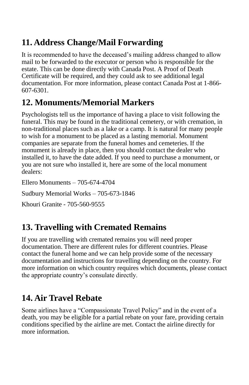# **11. Address Change/Mail Forwarding**

It is recommended to have the deceased's mailing address changed to allow mail to be forwarded to the executor or person who is responsible for the estate. This can be done directly with Canada Post. A Proof of Death Certificate will be required, and they could ask to see additional legal documentation. For more information, please contact Canada Post at 1-866- 607-6301.

# **12. Monuments/Memorial Markers**

Psychologists tell us the importance of having a place to visit following the funeral. This may be found in the traditional cemetery, or with cremation, in non-traditional places such as a lake or a camp. It is natural for many people to wish for a monument to be placed as a lasting memorial. Monument companies are separate from the funeral homes and cemeteries. If the monument is already in place, then you should contact the dealer who installed it, to have the date added. If you need to purchase a monument, or you are not sure who installed it, here are some of the local monument dealers:

Ellero Monuments – 705-674-4704 Sudbury Memorial Works – 705-673-1846 Khouri Granite - 705-560-9555

# **13. Travelling with Cremated Remains**

If you are travelling with cremated remains you will need proper documentation. There are different rules for different countries. Please contact the funeral home and we can help provide some of the necessary documentation and instructions for travelling depending on the country. For more information on which country requires which documents, please contact the appropriate country's consulate directly.

# **14. Air Travel Rebate**

Some airlines have a "Compassionate Travel Policy" and in the event of a death, you may be eligible for a partial rebate on your fare, providing certain conditions specified by the airline are met. Contact the airline directly for more information.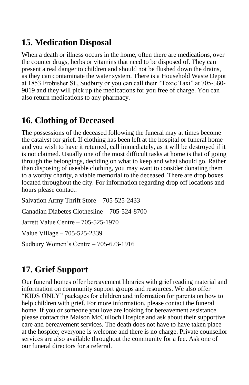# **15. Medication Disposal**

When a death or illness occurs in the home, often there are medications, over the counter drugs, herbs or vitamins that need to be disposed of. They can present a real danger to children and should not be flushed down the drains, as they can contaminate the water system. There is a Household Waste Depot at 1853 Frobisher St., Sudbury or you can call their "Toxic Taxi" at 705-560- 9019 and they will pick up the medications for you free of charge. You can also return medications to any pharmacy.

# **16. Clothing of Deceased**

The possessions of the deceased following the funeral may at times become the catalyst for grief. If clothing has been left at the hospital or funeral home and you wish to have it returned, call immediately, as it will be destroyed if it is not claimed. Usually one of the most difficult tasks at home is that of going through the belongings, deciding on what to keep and what should go. Rather than disposing of useable clothing, you may want to consider donating them to a worthy charity, a viable memorial to the deceased. There are drop boxes located throughout the city. For information regarding drop off locations and hours please contact:

Salvation Army Thrift Store – 705-525-2433 Canadian Diabetes Clothesline – 705-524-8700 Jarrett Value Centre – 705-525-1970 Value Village – 705-525-2339 Sudbury Women's Centre – 705-673-1916

# **17. Grief Support**

Our funeral homes offer bereavement libraries with grief reading material and information on community support groups and resources. We also offer "KIDS ONLY" packages for children and information for parents on how to help children with grief. For more information, please contact the funeral home. If you or someone you love are looking for bereavement assistance please contact the Maison McCulloch Hospice and ask about their supportive care and bereavement services. The death does not have to have taken place at the hospice; everyone is welcome and there is no charge. Private counsellor services are also available throughout the community for a fee. Ask one of our funeral directors for a referral.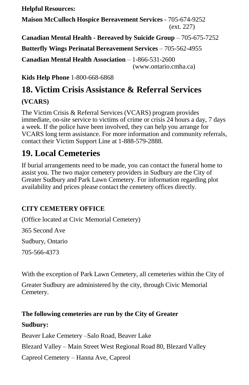**Helpful Resources:**

**Maison McCulloch Hospice Bereavement Services** - 705-674-9252 (ext. 227)

**Canadian Mental Health - Bereaved by Suicide Group** – 705-675-7252

**Butterfly Wings Perinatal Bereavement Services** – 705-562-4955

**Canadian Mental Health Association** – 1-866-531-2600 (www.ontario.cmha.ca)

**Kids Help Phone** 1-800-668-6868

# **18. Victim Crisis Assistance & Referral Services**

### **(VCARS)**

The Victim Crisis & Referral Services (VCARS) program provides immediate, on-site service to victims of crime or crisis 24 hours a day, 7 days a week. If the police have been involved, they can help you arrange for VCARS long term assistance. For more information and community referrals, contact their Victim Support Line at 1-888-579-2888.

# **19. Local Cemeteries**

If burial arrangements need to be made, you can contact the funeral home to assist you. The two major cemetery providers in Sudbury are the City of Greater Sudbury and Park Lawn Cemetery. For information regarding plot availability and prices please contact the cemetery offices directly.

### **CITY CEMETERY OFFICE**

(Office located at Civic Memorial Cemetery) 365 Second Ave Sudbury, Ontario 705-566-4373

With the exception of Park Lawn Cemetery, all cemeteries within the City of

Greater Sudbury are administered by the city, through Civic Memorial Cemetery.

# **The following cemeteries are run by the City of Greater Sudbury:**

Beaver Lake Cemetery –Salo Road, Beaver Lake Blezard Valley – Main Street West Regional Road 80, Blezard Valley Capreol Cemetery – Hanna Ave, Capreol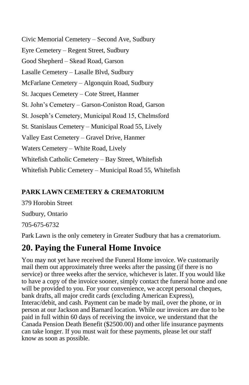Civic Memorial Cemetery – Second Ave, Sudbury Eyre Cemetery – Regent Street, Sudbury Good Shepherd – Skead Road, Garson Lasalle Cemetery – Lasalle Blvd, Sudbury McFarlane Cemetery – Algonquin Road, Sudbury St. Jacques Cemetery – Cote Street, Hanmer St. John's Cemetery – Garson-Coniston Road, Garson St. Joseph's Cemetery, Municipal Road 15, Chelmsford St. Stanislaus Cemetery – Municipal Road 55, Lively Valley East Cemetery – Gravel Drive, Hanmer Waters Cemetery – White Road, Lively Whitefish Catholic Cemetery – Bay Street, Whitefish Whitefish Public Cemetery – Municipal Road 55, Whitefish

#### **PARK LAWN CEMETERY & CREMATORIUM**

379 Horobin Street Sudbury, Ontario 705-675-6732

Park Lawn is the only cemetery in Greater Sudbury that has a crematorium.

# **20. Paying the Funeral Home Invoice**

You may not yet have received the Funeral Home invoice. We customarily mail them out approximately three weeks after the passing (if there is no service) or three weeks after the service, whichever is later. If you would like to have a copy of the invoice sooner, simply contact the funeral home and one will be provided to you. For your convenience, we accept personal cheques, bank drafts, all major credit cards (excluding American Express), Interac/debit, and cash. Payment can be made by mail, over the phone, or in person at our Jackson and Barnard location. While our invoices are due to be paid in full within 60 days of receiving the invoice, we understand that the Canada Pension Death Benefit (\$2500.00) and other life insurance payments can take longer. If you must wait for these payments, please let our staff know as soon as possible.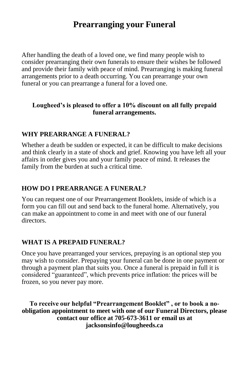# **Prearranging your Funeral**

After handling the death of a loved one, we find many people wish to consider prearranging their own funerals to ensure their wishes be followed and provide their family with peace of mind. Prearranging is making funeral arrangements prior to a death occurring. You can prearrange your own funeral or you can prearrange a funeral for a loved one.

#### **Lougheed's is pleased to offer a 10% discount on all fully prepaid funeral arrangements.**

#### **WHY PREARRANGE A FUNERAL?**

Whether a death be sudden or expected, it can be difficult to make decisions and think clearly in a state of shock and grief. Knowing you have left all your affairs in order gives you and your family peace of mind. It releases the family from the burden at such a critical time.

#### **HOW DO I PREARRANGE A FUNERAL?**

You can request one of our Prearrangement Booklets, inside of which is a form you can fill out and send back to the funeral home. Alternatively, you can make an appointment to come in and meet with one of our funeral directors.

#### **WHAT IS A PREPAID FUNERAL?**

Once you have prearranged your services, prepaying is an optional step you may wish to consider. Prepaying your funeral can be done in one payment or through a payment plan that suits you. Once a funeral is prepaid in full it is considered "guaranteed", which prevents price inflation: the prices will be frozen, so you never pay more.

**To receive our helpful "Prearrangement Booklet" , or to book a noobligation appointment to meet with one of our Funeral Directors, please contact our office at 705-673-3611 or email us at jacksonsinfo@lougheeds.ca**